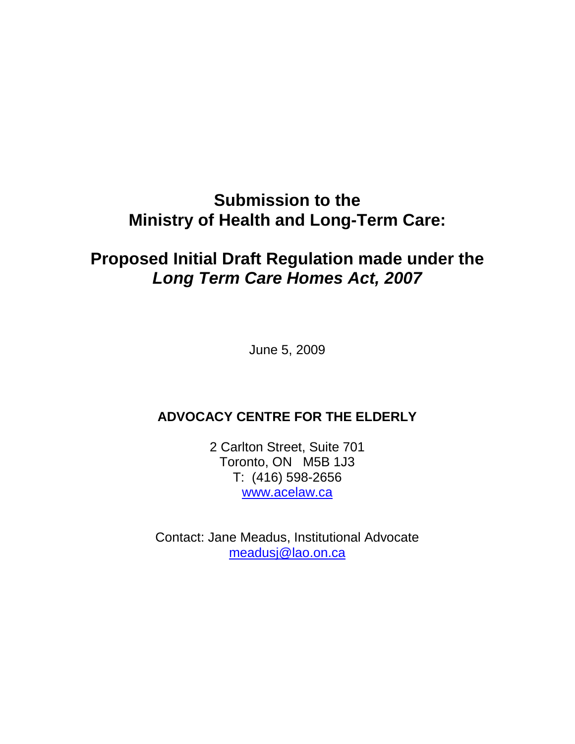# **Submission to the Ministry of Health and Long-Term Care:**

## **Proposed Initial Draft Regulation made under the Long Term Care Homes Act, 2007**

June 5, 2009

## **ADVOCACY CENTRE FOR THE ELDERLY**

2 Carlton Street, Suite 701 Toronto, ON M5B 1J3 T: (416) 598-2656 www.acelaw.ca

Contact: Jane Meadus, Institutional Advocate meadusj@lao.on.ca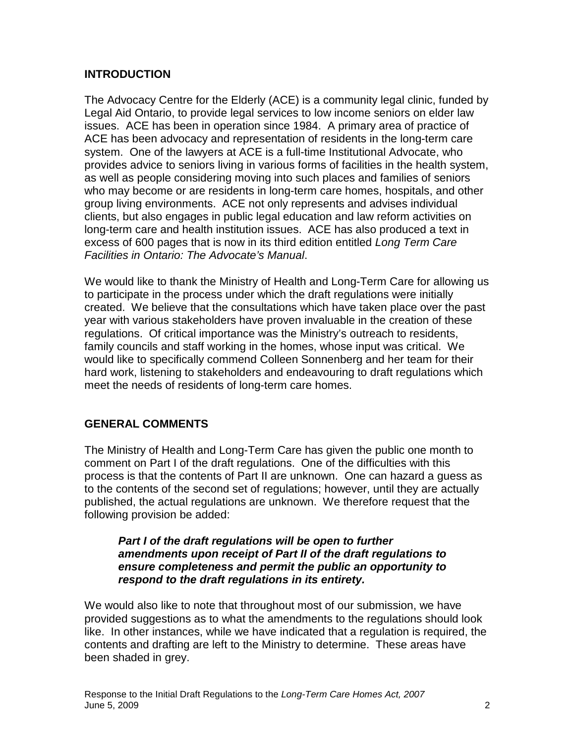## **INTRODUCTION**

The Advocacy Centre for the Elderly (ACE) is a community legal clinic, funded by Legal Aid Ontario, to provide legal services to low income seniors on elder law issues. ACE has been in operation since 1984. A primary area of practice of ACE has been advocacy and representation of residents in the long-term care system. One of the lawyers at ACE is a full-time Institutional Advocate, who provides advice to seniors living in various forms of facilities in the health system, as well as people considering moving into such places and families of seniors who may become or are residents in long-term care homes, hospitals, and other group living environments. ACE not only represents and advises individual clients, but also engages in public legal education and law reform activities on long-term care and health institution issues. ACE has also produced a text in excess of 600 pages that is now in its third edition entitled Long Term Care Facilities in Ontario: The Advocate's Manual.

We would like to thank the Ministry of Health and Long-Term Care for allowing us to participate in the process under which the draft regulations were initially created. We believe that the consultations which have taken place over the past year with various stakeholders have proven invaluable in the creation of these regulations. Of critical importance was the Ministry's outreach to residents, family councils and staff working in the homes, whose input was critical. We would like to specifically commend Colleen Sonnenberg and her team for their hard work, listening to stakeholders and endeavouring to draft regulations which meet the needs of residents of long-term care homes.

#### **GENERAL COMMENTS**

The Ministry of Health and Long-Term Care has given the public one month to comment on Part I of the draft regulations. One of the difficulties with this process is that the contents of Part II are unknown. One can hazard a guess as to the contents of the second set of regulations; however, until they are actually published, the actual regulations are unknown. We therefore request that the following provision be added:

#### **Part I of the draft regulations will be open to further amendments upon receipt of Part II of the draft regulations to ensure completeness and permit the public an opportunity to respond to the draft regulations in its entirety.**

We would also like to note that throughout most of our submission, we have provided suggestions as to what the amendments to the regulations should look like. In other instances, while we have indicated that a regulation is required, the contents and drafting are left to the Ministry to determine. These areas have been shaded in grey.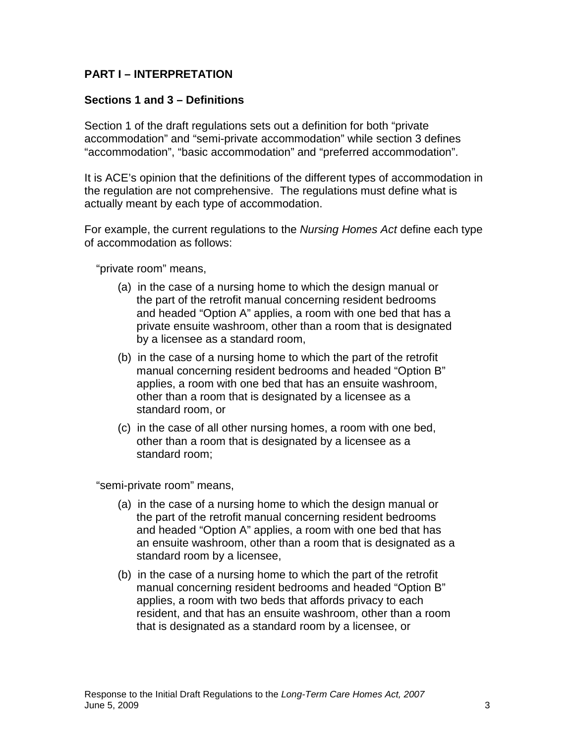## **PART I – INTERPRETATION**

## **Sections 1 and 3 – Definitions**

Section 1 of the draft regulations sets out a definition for both "private accommodation" and "semi-private accommodation" while section 3 defines "accommodation", "basic accommodation" and "preferred accommodation".

It is ACE's opinion that the definitions of the different types of accommodation in the regulation are not comprehensive. The regulations must define what is actually meant by each type of accommodation.

For example, the current regulations to the Nursing Homes Act define each type of accommodation as follows:

"private room" means,

- (a) in the case of a nursing home to which the design manual or the part of the retrofit manual concerning resident bedrooms and headed "Option A" applies, a room with one bed that has a private ensuite washroom, other than a room that is designated by a licensee as a standard room,
- (b) in the case of a nursing home to which the part of the retrofit manual concerning resident bedrooms and headed "Option B" applies, a room with one bed that has an ensuite washroom, other than a room that is designated by a licensee as a standard room, or
- (c) in the case of all other nursing homes, a room with one bed, other than a room that is designated by a licensee as a standard room;

"semi-private room" means,

- (a) in the case of a nursing home to which the design manual or the part of the retrofit manual concerning resident bedrooms and headed "Option A" applies, a room with one bed that has an ensuite washroom, other than a room that is designated as a standard room by a licensee,
- (b) in the case of a nursing home to which the part of the retrofit manual concerning resident bedrooms and headed "Option B" applies, a room with two beds that affords privacy to each resident, and that has an ensuite washroom, other than a room that is designated as a standard room by a licensee, or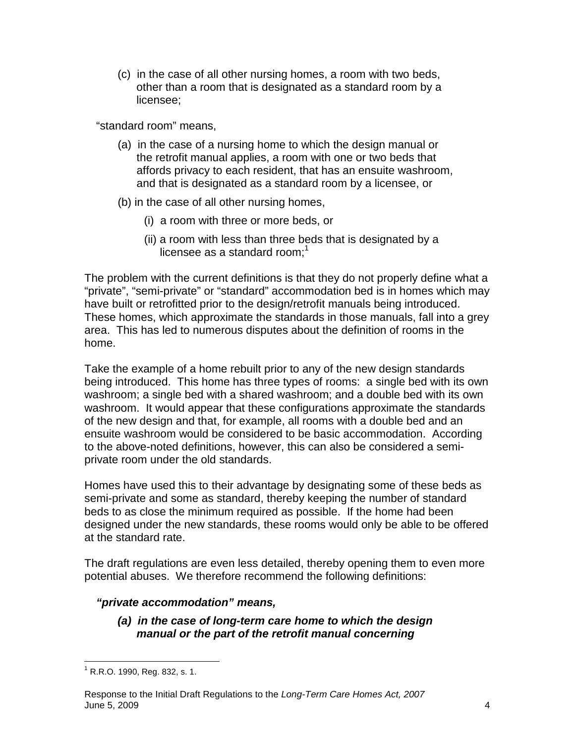(c) in the case of all other nursing homes, a room with two beds, other than a room that is designated as a standard room by a licensee;

"standard room" means,

- (a) in the case of a nursing home to which the design manual or the retrofit manual applies, a room with one or two beds that affords privacy to each resident, that has an ensuite washroom, and that is designated as a standard room by a licensee, or
- (b) in the case of all other nursing homes,
	- (i) a room with three or more beds, or
	- (ii) a room with less than three beds that is designated by a licensee as a standard room; $<sup>1</sup>$ </sup>

The problem with the current definitions is that they do not properly define what a "private", "semi-private" or "standard" accommodation bed is in homes which may have built or retrofitted prior to the design/retrofit manuals being introduced. These homes, which approximate the standards in those manuals, fall into a grey area. This has led to numerous disputes about the definition of rooms in the home.

Take the example of a home rebuilt prior to any of the new design standards being introduced. This home has three types of rooms: a single bed with its own washroom; a single bed with a shared washroom; and a double bed with its own washroom. It would appear that these configurations approximate the standards of the new design and that, for example, all rooms with a double bed and an ensuite washroom would be considered to be basic accommodation. According to the above-noted definitions, however, this can also be considered a semiprivate room under the old standards.

Homes have used this to their advantage by designating some of these beds as semi-private and some as standard, thereby keeping the number of standard beds to as close the minimum required as possible. If the home had been designed under the new standards, these rooms would only be able to be offered at the standard rate.

The draft regulations are even less detailed, thereby opening them to even more potential abuses. We therefore recommend the following definitions:

## **"private accommodation" means,**

**(a) in the case of long-term care home to which the design manual or the part of the retrofit manual concerning** 

 1 R.R.O. 1990, Reg. 832, s. 1.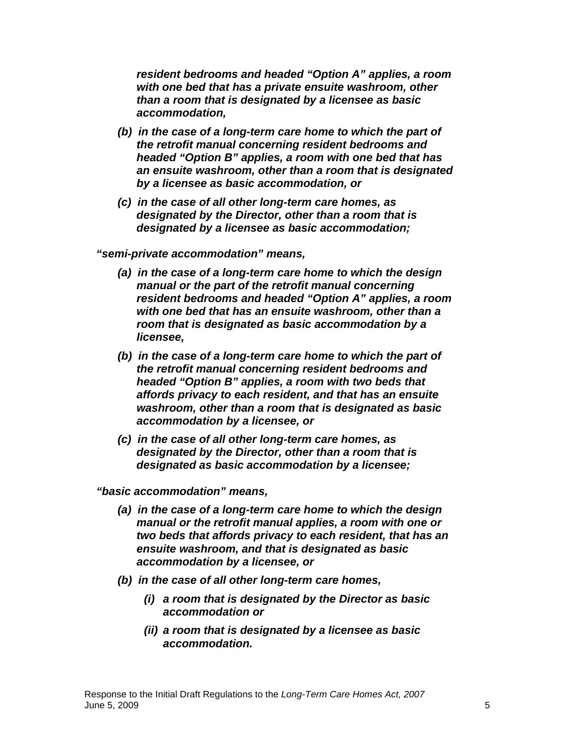**resident bedrooms and headed "Option A" applies, a room with one bed that has a private ensuite washroom, other than a room that is designated by a licensee as basic accommodation,** 

- **(b) in the case of a long-term care home to which the part of the retrofit manual concerning resident bedrooms and headed "Option B" applies, a room with one bed that has an ensuite washroom, other than a room that is designated by a licensee as basic accommodation, or**
- **(c) in the case of all other long-term care homes, as designated by the Director, other than a room that is designated by a licensee as basic accommodation;**

**"semi-private accommodation" means,** 

- **(a) in the case of a long-term care home to which the design manual or the part of the retrofit manual concerning resident bedrooms and headed "Option A" applies, a room with one bed that has an ensuite washroom, other than a room that is designated as basic accommodation by a licensee,**
- **(b) in the case of a long-term care home to which the part of the retrofit manual concerning resident bedrooms and headed "Option B" applies, a room with two beds that affords privacy to each resident, and that has an ensuite washroom, other than a room that is designated as basic accommodation by a licensee, or**
- **(c) in the case of all other long-term care homes, as designated by the Director, other than a room that is designated as basic accommodation by a licensee;**

**"basic accommodation" means,** 

- **(a) in the case of a long-term care home to which the design manual or the retrofit manual applies, a room with one or two beds that affords privacy to each resident, that has an ensuite washroom, and that is designated as basic accommodation by a licensee, or**
- **(b) in the case of all other long-term care homes,** 
	- **(i) a room that is designated by the Director as basic accommodation or**
	- **(ii) a room that is designated by a licensee as basic accommodation.**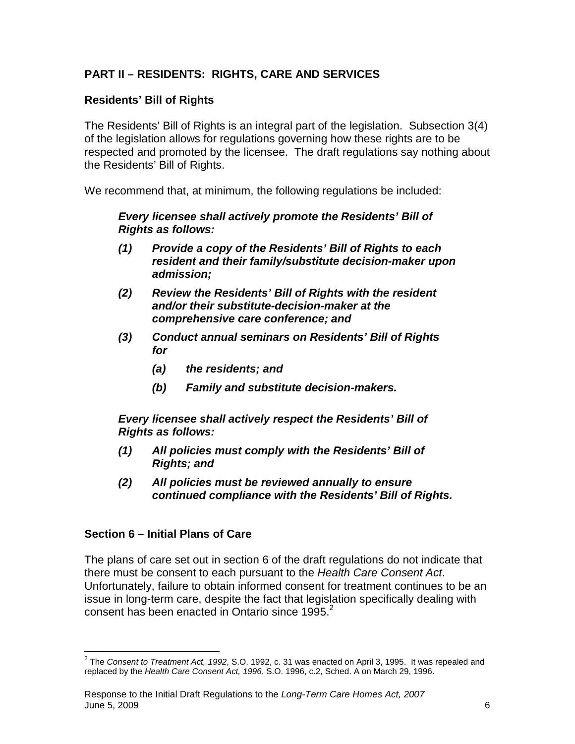## **PART II – RESIDENTS: RIGHTS, CARE AND SERVICES**

## **Residents' Bill of Rights**

The Residents' Bill of Rights is an integral part of the legislation. Subsection 3(4) of the legislation allows for regulations governing how these rights are to be respected and promoted by the licensee. The draft regulations say nothing about the Residents' Bill of Rights.

We recommend that, at minimum, the following regulations be included:

**Every licensee shall actively promote the Residents' Bill of Rights as follows:** 

- **(1) Provide a copy of the Residents' Bill of Rights to each resident and their family/substitute decision-maker upon admission;**
- **(2) Review the Residents' Bill of Rights with the resident and/or their substitute-decision-maker at the comprehensive care conference; and**
- **(3) Conduct annual seminars on Residents' Bill of Rights for** 
	- **(a) the residents; and**
	- **(b) Family and substitute decision-makers.**

**Every licensee shall actively respect the Residents' Bill of Rights as follows:** 

- **(1) All policies must comply with the Residents' Bill of Rights; and**
- **(2) All policies must be reviewed annually to ensure continued compliance with the Residents' Bill of Rights.**

#### **Section 6 – Initial Plans of Care**

The plans of care set out in section 6 of the draft regulations do not indicate that there must be consent to each pursuant to the Health Care Consent Act. Unfortunately, failure to obtain informed consent for treatment continues to be an issue in long-term care, despite the fact that legislation specifically dealing with consent has been enacted in Ontario since 1995. $^2$ 

 2 The Consent to Treatment Act, 1992, S.O. 1992, c. 31 was enacted on April 3, 1995. It was repealed and replaced by the Health Care Consent Act, 1996, S.O. 1996, c.2, Sched. A on March 29, 1996.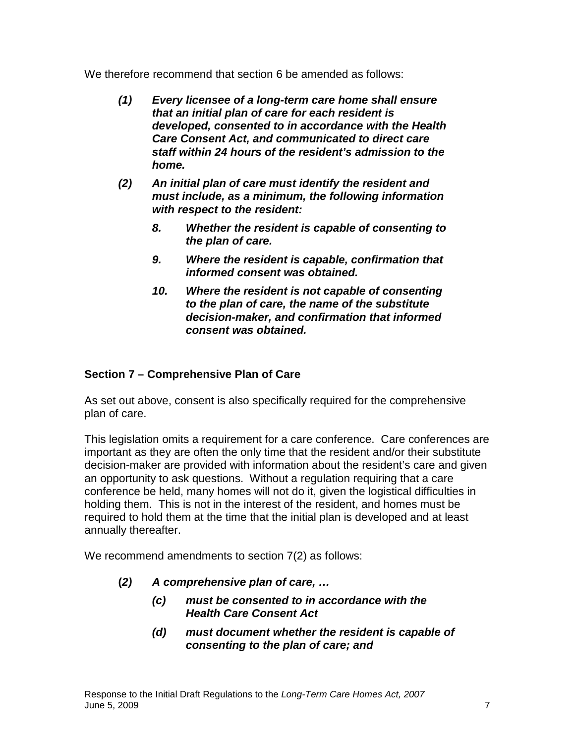We therefore recommend that section 6 be amended as follows:

- **(1) Every licensee of a long-term care home shall ensure that an initial plan of care for each resident is developed, consented to in accordance with the Health Care Consent Act, and communicated to direct care staff within 24 hours of the resident's admission to the home.**
- **(2) An initial plan of care must identify the resident and must include, as a minimum, the following information with respect to the resident:** 
	- **8. Whether the resident is capable of consenting to the plan of care.**
	- **9. Where the resident is capable, confirmation that informed consent was obtained.**
	- **10. Where the resident is not capable of consenting to the plan of care, the name of the substitute decision-maker, and confirmation that informed consent was obtained.**

## **Section 7 – Comprehensive Plan of Care**

As set out above, consent is also specifically required for the comprehensive plan of care.

This legislation omits a requirement for a care conference. Care conferences are important as they are often the only time that the resident and/or their substitute decision-maker are provided with information about the resident's care and given an opportunity to ask questions. Without a regulation requiring that a care conference be held, many homes will not do it, given the logistical difficulties in holding them. This is not in the interest of the resident, and homes must be required to hold them at the time that the initial plan is developed and at least annually thereafter.

We recommend amendments to section 7(2) as follows:

- **(2) A comprehensive plan of care, …**
	- **(c) must be consented to in accordance with the Health Care Consent Act**
	- **(d) must document whether the resident is capable of consenting to the plan of care; and**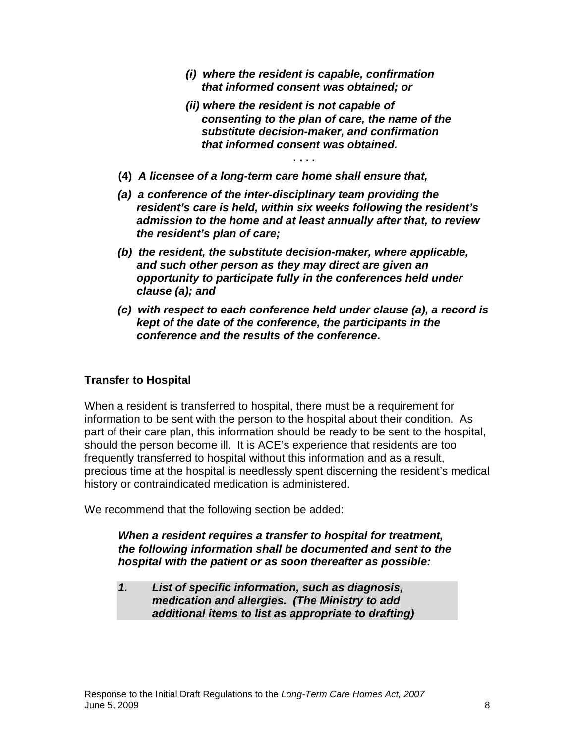- **(i) where the resident is capable, confirmation that informed consent was obtained; or**
- **(ii) where the resident is not capable of consenting to the plan of care, the name of the substitute decision-maker, and confirmation that informed consent was obtained.**
- **(4) A licensee of a long-term care home shall ensure that,**
- **(a) a conference of the inter-disciplinary team providing the resident's care is held, within six weeks following the resident's admission to the home and at least annually after that, to review the resident's plan of care;**

**. . . .** 

- **(b) the resident, the substitute decision-maker, where applicable, and such other person as they may direct are given an opportunity to participate fully in the conferences held under clause (a); and**
- **(c) with respect to each conference held under clause (a), a record is kept of the date of the conference, the participants in the conference and the results of the conference.**

## **Transfer to Hospital**

When a resident is transferred to hospital, there must be a requirement for information to be sent with the person to the hospital about their condition. As part of their care plan, this information should be ready to be sent to the hospital, should the person become ill. It is ACE's experience that residents are too frequently transferred to hospital without this information and as a result, precious time at the hospital is needlessly spent discerning the resident's medical history or contraindicated medication is administered.

We recommend that the following section be added:

## **When a resident requires a transfer to hospital for treatment, the following information shall be documented and sent to the hospital with the patient or as soon thereafter as possible:**

**1. List of specific information, such as diagnosis, medication and allergies. (The Ministry to add additional items to list as appropriate to drafting)**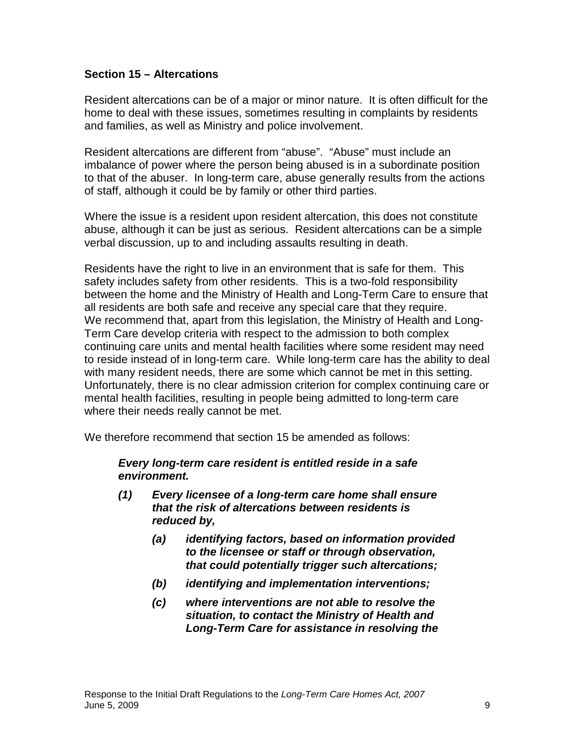#### **Section 15 – Altercations**

Resident altercations can be of a major or minor nature. It is often difficult for the home to deal with these issues, sometimes resulting in complaints by residents and families, as well as Ministry and police involvement.

Resident altercations are different from "abuse". "Abuse" must include an imbalance of power where the person being abused is in a subordinate position to that of the abuser. In long-term care, abuse generally results from the actions of staff, although it could be by family or other third parties.

Where the issue is a resident upon resident altercation, this does not constitute abuse, although it can be just as serious. Resident altercations can be a simple verbal discussion, up to and including assaults resulting in death.

Residents have the right to live in an environment that is safe for them. This safety includes safety from other residents. This is a two-fold responsibility between the home and the Ministry of Health and Long-Term Care to ensure that all residents are both safe and receive any special care that they require. We recommend that, apart from this legislation, the Ministry of Health and Long-Term Care develop criteria with respect to the admission to both complex continuing care units and mental health facilities where some resident may need to reside instead of in long-term care. While long-term care has the ability to deal with many resident needs, there are some which cannot be met in this setting. Unfortunately, there is no clear admission criterion for complex continuing care or mental health facilities, resulting in people being admitted to long-term care where their needs really cannot be met.

We therefore recommend that section 15 be amended as follows:

#### **Every long-term care resident is entitled reside in a safe environment.**

- **(1) Every licensee of a long-term care home shall ensure that the risk of altercations between residents is reduced by,** 
	- **(a) identifying factors, based on information provided to the licensee or staff or through observation, that could potentially trigger such altercations;**
	- **(b) identifying and implementation interventions;**
	- **(c) where interventions are not able to resolve the situation, to contact the Ministry of Health and Long-Term Care for assistance in resolving the**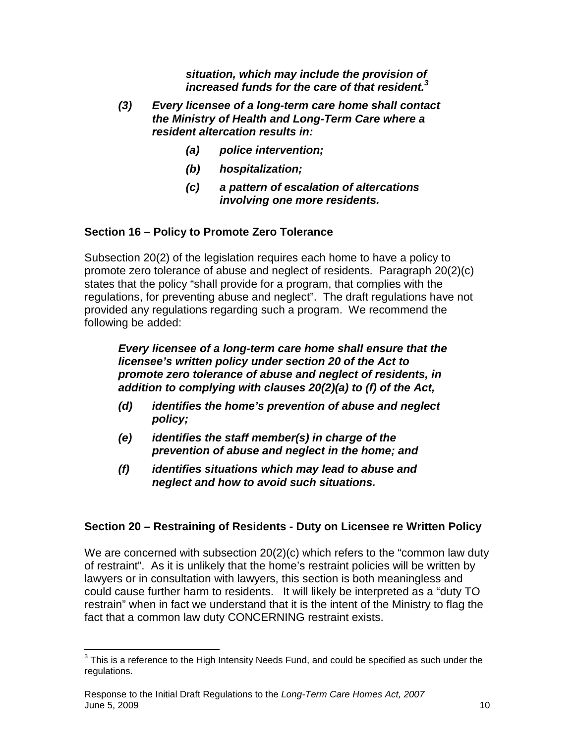**situation, which may include the provision of increased funds for the care of that resident.<sup>3</sup>**

- **(3) Every licensee of a long-term care home shall contact the Ministry of Health and Long-Term Care where a resident altercation results in:** 
	- **(a) police intervention;**
	- **(b) hospitalization;**
	- **(c) a pattern of escalation of altercations involving one more residents.**

## **Section 16 – Policy to Promote Zero Tolerance**

Subsection 20(2) of the legislation requires each home to have a policy to promote zero tolerance of abuse and neglect of residents. Paragraph 20(2)(c) states that the policy "shall provide for a program, that complies with the regulations, for preventing abuse and neglect". The draft regulations have not provided any regulations regarding such a program. We recommend the following be added:

**Every licensee of a long-term care home shall ensure that the licensee's written policy under section 20 of the Act to promote zero tolerance of abuse and neglect of residents, in addition to complying with clauses 20(2)(a) to (f) of the Act,**

- **(d) identifies the home's prevention of abuse and neglect policy;**
- **(e) identifies the staff member(s) in charge of the prevention of abuse and neglect in the home; and**
- **(f) identifies situations which may lead to abuse and neglect and how to avoid such situations.**

## **Section 20 – Restraining of Residents - Duty on Licensee re Written Policy**

We are concerned with subsection 20(2)(c) which refers to the "common law duty of restraint". As it is unlikely that the home's restraint policies will be written by lawyers or in consultation with lawyers, this section is both meaningless and could cause further harm to residents. It will likely be interpreted as a "duty TO restrain" when in fact we understand that it is the intent of the Ministry to flag the fact that a common law duty CONCERNING restraint exists.

 3 This is a reference to the High Intensity Needs Fund, and could be specified as such under the regulations.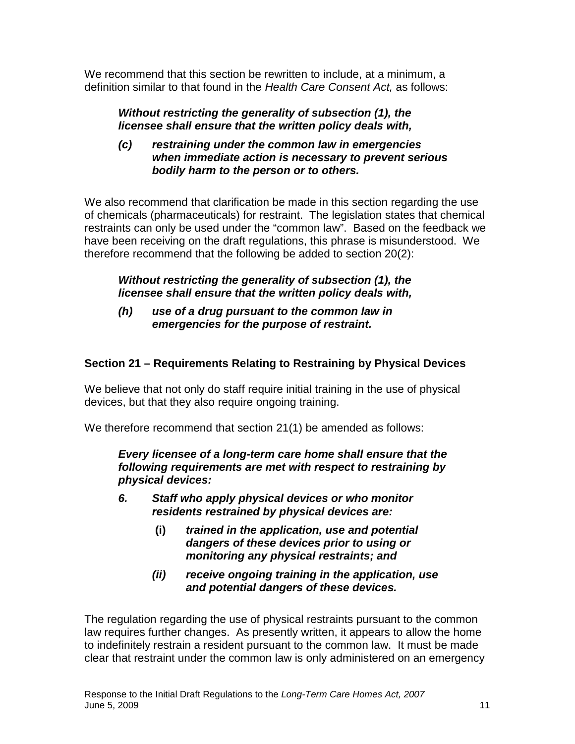We recommend that this section be rewritten to include, at a minimum, a definition similar to that found in the Health Care Consent Act, as follows:

## **Without restricting the generality of subsection (1), the licensee shall ensure that the written policy deals with,**

**(c) restraining under the common law in emergencies when immediate action is necessary to prevent serious bodily harm to the person or to others.** 

We also recommend that clarification be made in this section regarding the use of chemicals (pharmaceuticals) for restraint. The legislation states that chemical restraints can only be used under the "common law". Based on the feedback we have been receiving on the draft regulations, this phrase is misunderstood. We therefore recommend that the following be added to section 20(2):

## **Without restricting the generality of subsection (1), the licensee shall ensure that the written policy deals with,**

## **(h) use of a drug pursuant to the common law in emergencies for the purpose of restraint.**

## **Section 21 – Requirements Relating to Restraining by Physical Devices**

We believe that not only do staff require initial training in the use of physical devices, but that they also require ongoing training.

We therefore recommend that section 21(1) be amended as follows:

**Every licensee of a long-term care home shall ensure that the following requirements are met with respect to restraining by physical devices:** 

- **6. Staff who apply physical devices or who monitor residents restrained by physical devices are:** 
	- **(i) trained in the application, use and potential dangers of these devices prior to using or monitoring any physical restraints; and**
	- **(ii) receive ongoing training in the application, use and potential dangers of these devices.**

The regulation regarding the use of physical restraints pursuant to the common law requires further changes. As presently written, it appears to allow the home to indefinitely restrain a resident pursuant to the common law. It must be made clear that restraint under the common law is only administered on an emergency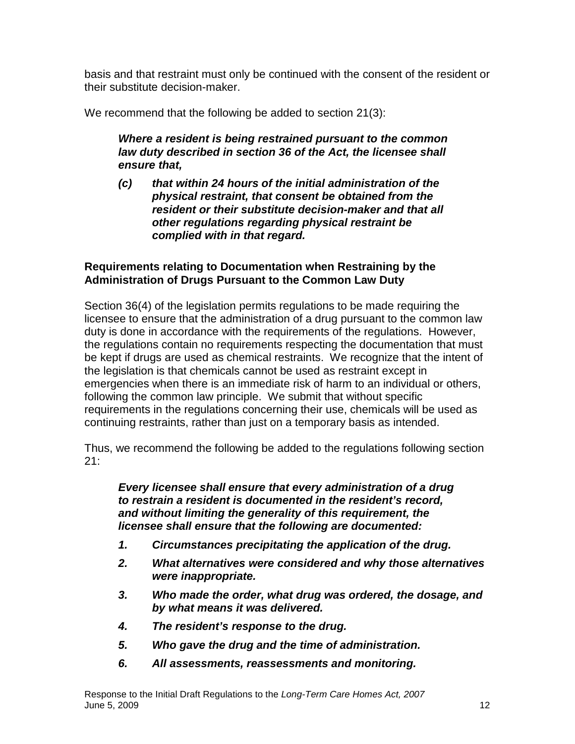basis and that restraint must only be continued with the consent of the resident or their substitute decision-maker.

We recommend that the following be added to section 21(3):

## **Where a resident is being restrained pursuant to the common law duty described in section 36 of the Act, the licensee shall ensure that,**

**(c) that within 24 hours of the initial administration of the physical restraint, that consent be obtained from the resident or their substitute decision-maker and that all other regulations regarding physical restraint be complied with in that regard.** 

## **Requirements relating to Documentation when Restraining by the Administration of Drugs Pursuant to the Common Law Duty**

Section 36(4) of the legislation permits regulations to be made requiring the licensee to ensure that the administration of a drug pursuant to the common law duty is done in accordance with the requirements of the regulations. However, the regulations contain no requirements respecting the documentation that must be kept if drugs are used as chemical restraints. We recognize that the intent of the legislation is that chemicals cannot be used as restraint except in emergencies when there is an immediate risk of harm to an individual or others, following the common law principle. We submit that without specific requirements in the regulations concerning their use, chemicals will be used as continuing restraints, rather than just on a temporary basis as intended.

Thus, we recommend the following be added to the regulations following section 21:

**Every licensee shall ensure that every administration of a drug to restrain a resident is documented in the resident's record, and without limiting the generality of this requirement, the licensee shall ensure that the following are documented:** 

- **1. Circumstances precipitating the application of the drug.**
- **2. What alternatives were considered and why those alternatives were inappropriate.**
- **3. Who made the order, what drug was ordered, the dosage, and by what means it was delivered.**
- **4. The resident's response to the drug.**
- **5. Who gave the drug and the time of administration.**
- **6. All assessments, reassessments and monitoring.**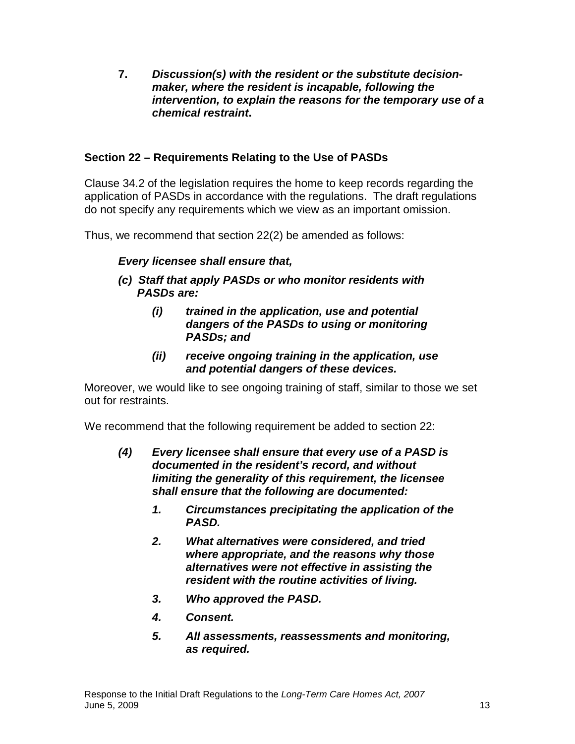**7. Discussion(s) with the resident or the substitute decisionmaker, where the resident is incapable, following the intervention, to explain the reasons for the temporary use of a chemical restraint.** 

## **Section 22 – Requirements Relating to the Use of PASDs**

Clause 34.2 of the legislation requires the home to keep records regarding the application of PASDs in accordance with the regulations. The draft regulations do not specify any requirements which we view as an important omission.

Thus, we recommend that section 22(2) be amended as follows:

## **Every licensee shall ensure that,**

- **(c) Staff that apply PASDs or who monitor residents with PASDs are:** 
	- **(i) trained in the application, use and potential dangers of the PASDs to using or monitoring PASDs; and**
	- **(ii) receive ongoing training in the application, use and potential dangers of these devices.**

Moreover, we would like to see ongoing training of staff, similar to those we set out for restraints.

We recommend that the following requirement be added to section 22:

- **(4) Every licensee shall ensure that every use of a PASD is documented in the resident's record, and without limiting the generality of this requirement, the licensee shall ensure that the following are documented:** 
	- **1. Circumstances precipitating the application of the PASD.**
	- **2. What alternatives were considered, and tried where appropriate, and the reasons why those alternatives were not effective in assisting the resident with the routine activities of living.**
	- **3. Who approved the PASD.**
	- **4. Consent.**
	- **5. All assessments, reassessments and monitoring, as required.**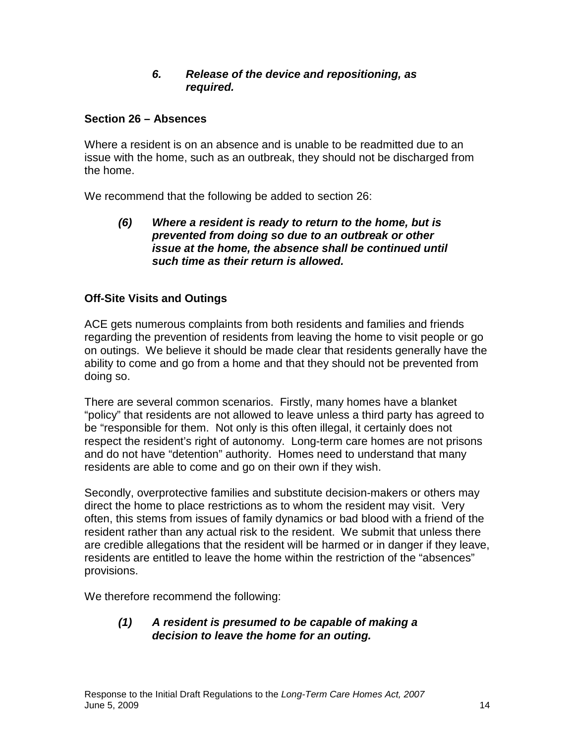#### **6. Release of the device and repositioning, as required.**

## **Section 26 – Absences**

Where a resident is on an absence and is unable to be readmitted due to an issue with the home, such as an outbreak, they should not be discharged from the home.

We recommend that the following be added to section 26:

**(6) Where a resident is ready to return to the home, but is prevented from doing so due to an outbreak or other issue at the home, the absence shall be continued until such time as their return is allowed.** 

## **Off-Site Visits and Outings**

ACE gets numerous complaints from both residents and families and friends regarding the prevention of residents from leaving the home to visit people or go on outings. We believe it should be made clear that residents generally have the ability to come and go from a home and that they should not be prevented from doing so.

There are several common scenarios. Firstly, many homes have a blanket "policy" that residents are not allowed to leave unless a third party has agreed to be "responsible for them. Not only is this often illegal, it certainly does not respect the resident's right of autonomy. Long-term care homes are not prisons and do not have "detention" authority. Homes need to understand that many residents are able to come and go on their own if they wish.

Secondly, overprotective families and substitute decision-makers or others may direct the home to place restrictions as to whom the resident may visit. Very often, this stems from issues of family dynamics or bad blood with a friend of the resident rather than any actual risk to the resident. We submit that unless there are credible allegations that the resident will be harmed or in danger if they leave, residents are entitled to leave the home within the restriction of the "absences" provisions.

We therefore recommend the following:

## **(1) A resident is presumed to be capable of making a decision to leave the home for an outing.**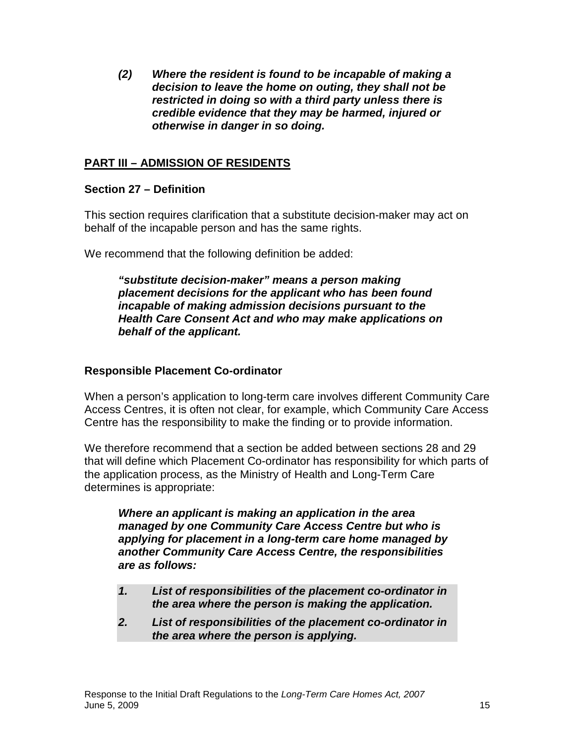**(2) Where the resident is found to be incapable of making a decision to leave the home on outing, they shall not be restricted in doing so with a third party unless there is credible evidence that they may be harmed, injured or otherwise in danger in so doing.** 

## **PART III – ADMISSION OF RESIDENTS**

### **Section 27 – Definition**

This section requires clarification that a substitute decision-maker may act on behalf of the incapable person and has the same rights.

We recommend that the following definition be added:

**"substitute decision-maker" means a person making placement decisions for the applicant who has been found incapable of making admission decisions pursuant to the Health Care Consent Act and who may make applications on behalf of the applicant.** 

#### **Responsible Placement Co-ordinator**

When a person's application to long-term care involves different Community Care Access Centres, it is often not clear, for example, which Community Care Access Centre has the responsibility to make the finding or to provide information.

We therefore recommend that a section be added between sections 28 and 29 that will define which Placement Co-ordinator has responsibility for which parts of the application process, as the Ministry of Health and Long-Term Care determines is appropriate:

**Where an applicant is making an application in the area managed by one Community Care Access Centre but who is applying for placement in a long-term care home managed by another Community Care Access Centre, the responsibilities are as follows:** 

- **1. List of responsibilities of the placement co-ordinator in the area where the person is making the application.**
- **2. List of responsibilities of the placement co-ordinator in the area where the person is applying.**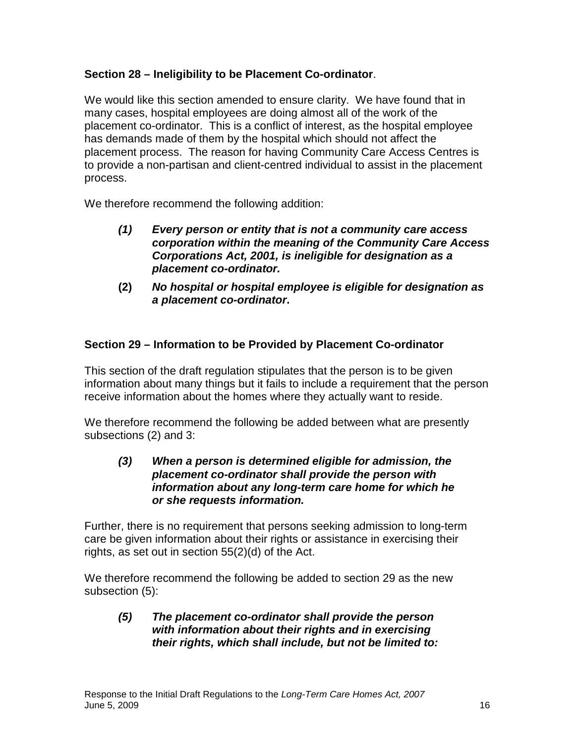## **Section 28 – Ineligibility to be Placement Co-ordinator**.

We would like this section amended to ensure clarity. We have found that in many cases, hospital employees are doing almost all of the work of the placement co-ordinator. This is a conflict of interest, as the hospital employee has demands made of them by the hospital which should not affect the placement process. The reason for having Community Care Access Centres is to provide a non-partisan and client-centred individual to assist in the placement process.

We therefore recommend the following addition:

- **(1) Every person or entity that is not a community care access corporation within the meaning of the Community Care Access Corporations Act, 2001, is ineligible for designation as a placement co-ordinator.**
- **(2) No hospital or hospital employee is eligible for designation as a placement co-ordinator.**

## **Section 29 – Information to be Provided by Placement Co-ordinator**

This section of the draft regulation stipulates that the person is to be given information about many things but it fails to include a requirement that the person receive information about the homes where they actually want to reside.

We therefore recommend the following be added between what are presently subsections (2) and 3:

#### **(3) When a person is determined eligible for admission, the placement co-ordinator shall provide the person with information about any long-term care home for which he or she requests information.**

Further, there is no requirement that persons seeking admission to long-term care be given information about their rights or assistance in exercising their rights, as set out in section 55(2)(d) of the Act.

We therefore recommend the following be added to section 29 as the new subsection (5):

**(5) The placement co-ordinator shall provide the person with information about their rights and in exercising their rights, which shall include, but not be limited to:**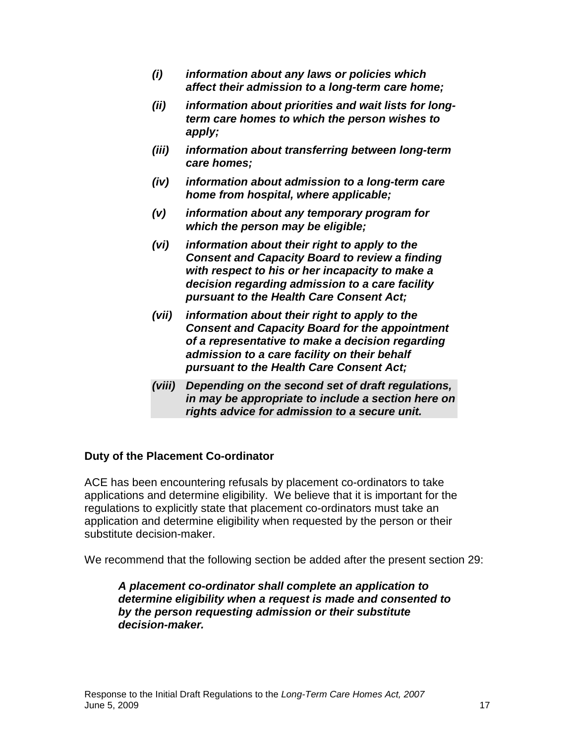- **(i) information about any laws or policies which affect their admission to a long-term care home;**
- **(ii) information about priorities and wait lists for longterm care homes to which the person wishes to apply;**
- **(iii) information about transferring between long-term care homes;**
- **(iv) information about admission to a long-term care home from hospital, where applicable;**
- **(v) information about any temporary program for which the person may be eligible;**
- **(vi) information about their right to apply to the Consent and Capacity Board to review a finding with respect to his or her incapacity to make a decision regarding admission to a care facility pursuant to the Health Care Consent Act;**
- **(vii) information about their right to apply to the Consent and Capacity Board for the appointment of a representative to make a decision regarding admission to a care facility on their behalf pursuant to the Health Care Consent Act;**
- **(viii) Depending on the second set of draft regulations, in may be appropriate to include a section here on rights advice for admission to a secure unit.**

#### **Duty of the Placement Co-ordinator**

ACE has been encountering refusals by placement co-ordinators to take applications and determine eligibility. We believe that it is important for the regulations to explicitly state that placement co-ordinators must take an application and determine eligibility when requested by the person or their substitute decision-maker.

We recommend that the following section be added after the present section 29:

**A placement co-ordinator shall complete an application to determine eligibility when a request is made and consented to by the person requesting admission or their substitute decision-maker.**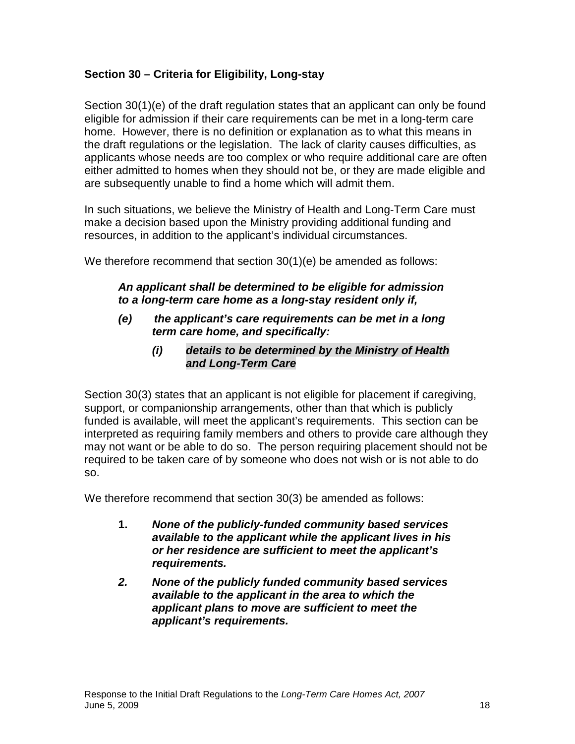## **Section 30 – Criteria for Eligibility, Long-stay**

Section 30(1)(e) of the draft regulation states that an applicant can only be found eligible for admission if their care requirements can be met in a long-term care home. However, there is no definition or explanation as to what this means in the draft regulations or the legislation. The lack of clarity causes difficulties, as applicants whose needs are too complex or who require additional care are often either admitted to homes when they should not be, or they are made eligible and are subsequently unable to find a home which will admit them.

In such situations, we believe the Ministry of Health and Long-Term Care must make a decision based upon the Ministry providing additional funding and resources, in addition to the applicant's individual circumstances.

We therefore recommend that section 30(1)(e) be amended as follows:

## **An applicant shall be determined to be eligible for admission to a long-term care home as a long-stay resident only if,**

- **(e) the applicant's care requirements can be met in a long term care home, and specifically:** 
	- **(i) details to be determined by the Ministry of Health and Long-Term Care**

Section 30(3) states that an applicant is not eligible for placement if caregiving, support, or companionship arrangements, other than that which is publicly funded is available, will meet the applicant's requirements. This section can be interpreted as requiring family members and others to provide care although they may not want or be able to do so. The person requiring placement should not be required to be taken care of by someone who does not wish or is not able to do so.

We therefore recommend that section 30(3) be amended as follows:

- **1. None of the publicly-funded community based services available to the applicant while the applicant lives in his or her residence are sufficient to meet the applicant's requirements.**
- **2. None of the publicly funded community based services available to the applicant in the area to which the applicant plans to move are sufficient to meet the applicant's requirements.**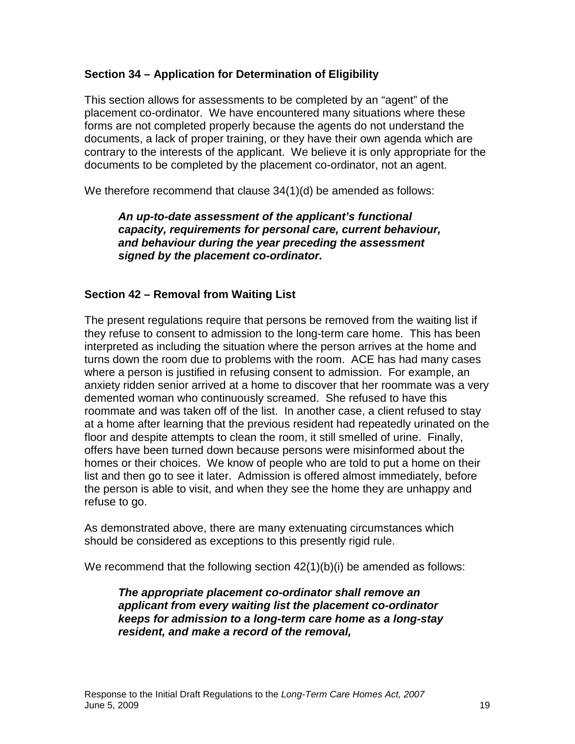## **Section 34 – Application for Determination of Eligibility**

This section allows for assessments to be completed by an "agent" of the placement co-ordinator. We have encountered many situations where these forms are not completed properly because the agents do not understand the documents, a lack of proper training, or they have their own agenda which are contrary to the interests of the applicant. We believe it is only appropriate for the documents to be completed by the placement co-ordinator, not an agent.

We therefore recommend that clause 34(1)(d) be amended as follows:

**An up-to-date assessment of the applicant's functional capacity, requirements for personal care, current behaviour, and behaviour during the year preceding the assessment signed by the placement co-ordinator.** 

## **Section 42 – Removal from Waiting List**

The present regulations require that persons be removed from the waiting list if they refuse to consent to admission to the long-term care home. This has been interpreted as including the situation where the person arrives at the home and turns down the room due to problems with the room. ACE has had many cases where a person is justified in refusing consent to admission. For example, an anxiety ridden senior arrived at a home to discover that her roommate was a very demented woman who continuously screamed. She refused to have this roommate and was taken off of the list. In another case, a client refused to stay at a home after learning that the previous resident had repeatedly urinated on the floor and despite attempts to clean the room, it still smelled of urine. Finally, offers have been turned down because persons were misinformed about the homes or their choices. We know of people who are told to put a home on their list and then go to see it later. Admission is offered almost immediately, before the person is able to visit, and when they see the home they are unhappy and refuse to go.

As demonstrated above, there are many extenuating circumstances which should be considered as exceptions to this presently rigid rule.

We recommend that the following section  $42(1)(b)(i)$  be amended as follows:

**The appropriate placement co-ordinator shall remove an applicant from every waiting list the placement co-ordinator keeps for admission to a long-term care home as a long-stay resident, and make a record of the removal,**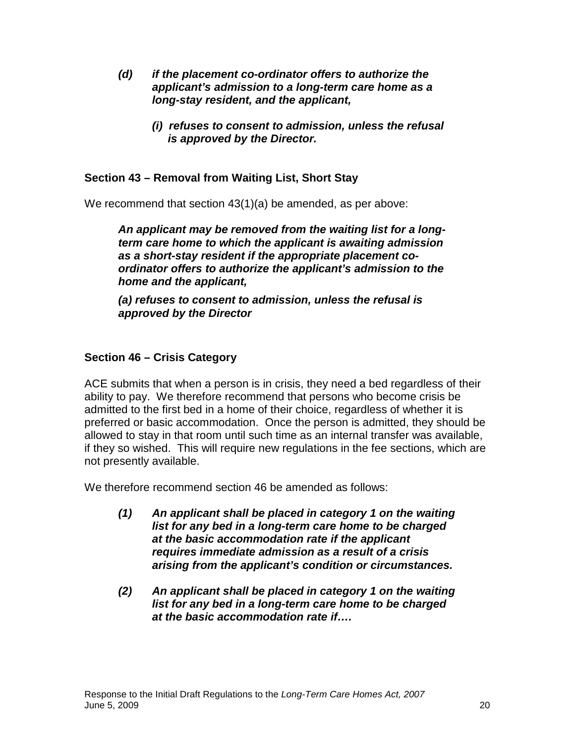- **(d) if the placement co-ordinator offers to authorize the applicant's admission to a long-term care home as a long-stay resident, and the applicant,** 
	- **(i) refuses to consent to admission, unless the refusal is approved by the Director.**

## **Section 43 – Removal from Waiting List, Short Stay**

We recommend that section 43(1)(a) be amended, as per above:

**An applicant may be removed from the waiting list for a longterm care home to which the applicant is awaiting admission as a short-stay resident if the appropriate placement coordinator offers to authorize the applicant's admission to the home and the applicant,** 

**(a) refuses to consent to admission, unless the refusal is approved by the Director**

#### **Section 46 – Crisis Category**

ACE submits that when a person is in crisis, they need a bed regardless of their ability to pay. We therefore recommend that persons who become crisis be admitted to the first bed in a home of their choice, regardless of whether it is preferred or basic accommodation. Once the person is admitted, they should be allowed to stay in that room until such time as an internal transfer was available, if they so wished. This will require new regulations in the fee sections, which are not presently available.

We therefore recommend section 46 be amended as follows:

- **(1) An applicant shall be placed in category 1 on the waiting list for any bed in a long-term care home to be charged at the basic accommodation rate if the applicant requires immediate admission as a result of a crisis arising from the applicant's condition or circumstances.**
- **(2) An applicant shall be placed in category 1 on the waiting list for any bed in a long-term care home to be charged at the basic accommodation rate if….**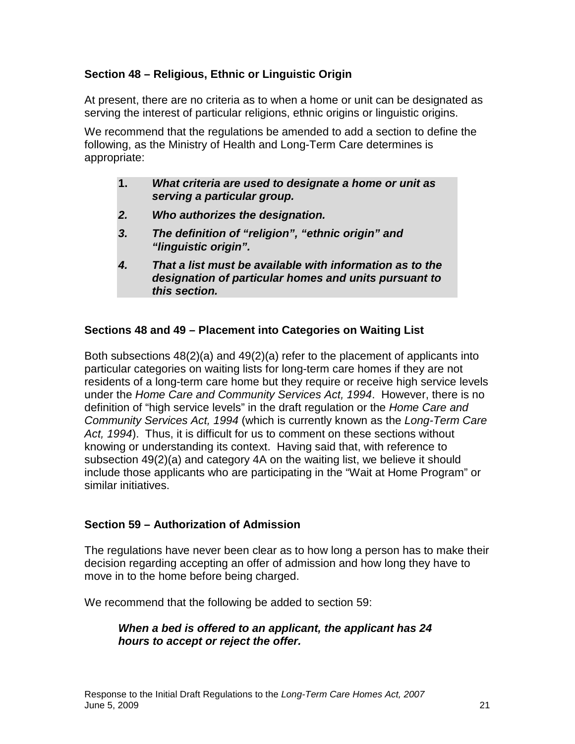## **Section 48 – Religious, Ethnic or Linguistic Origin**

At present, there are no criteria as to when a home or unit can be designated as serving the interest of particular religions, ethnic origins or linguistic origins.

We recommend that the regulations be amended to add a section to define the following, as the Ministry of Health and Long-Term Care determines is appropriate:

| What criteria are used to designate a home or unit as |
|-------------------------------------------------------|
| serving a particular group.                           |

- **2. Who authorizes the designation.**
- **3. The definition of "religion", "ethnic origin" and "linguistic origin".**
- **4. That a list must be available with information as to the designation of particular homes and units pursuant to this section.**

#### **Sections 48 and 49 – Placement into Categories on Waiting List**

Both subsections 48(2)(a) and 49(2)(a) refer to the placement of applicants into particular categories on waiting lists for long-term care homes if they are not residents of a long-term care home but they require or receive high service levels under the Home Care and Community Services Act, 1994. However, there is no definition of "high service levels" in the draft regulation or the Home Care and Community Services Act, 1994 (which is currently known as the Long-Term Care Act, 1994). Thus, it is difficult for us to comment on these sections without knowing or understanding its context. Having said that, with reference to subsection 49(2)(a) and category 4A on the waiting list, we believe it should include those applicants who are participating in the "Wait at Home Program" or similar initiatives.

#### **Section 59 – Authorization of Admission**

The regulations have never been clear as to how long a person has to make their decision regarding accepting an offer of admission and how long they have to move in to the home before being charged.

We recommend that the following be added to section 59:

## **When a bed is offered to an applicant, the applicant has 24 hours to accept or reject the offer.**